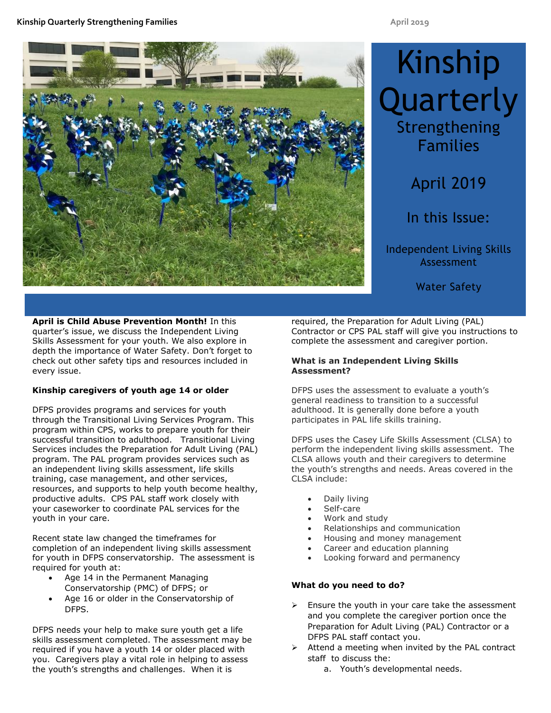

# Kinship **Quarterly** Strengthening Families

# April 2019

In this Issue:

Independent Living Skills Assessment

Water Safety

**April is Child Abuse Prevention Month!** In this quarter's issue, we discuss the Independent Living Skills Assessment for your youth. We also explore in depth the importance of Water Safety. Don't forget to check out other safety tips and resources included in every issue.

## **Kinship caregivers of youth age 14 or older**

DFPS provides programs and services for youth through the Transitional Living Services Program. This program within CPS, works to prepare youth for their successful transition to adulthood. Transitional Living Services includes the Preparation for Adult Living (PAL) program. The PAL program provides services such as an independent living skills assessment, life skills training, case management, and other services, resources, and supports to help youth become healthy, productive adults. CPS PAL staff work closely with your caseworker to coordinate PAL services for the youth in your care.

Recent state law changed the timeframes for completion of an independent living skills assessment for youth in DFPS conservatorship. The assessment is required for youth at:

- Age 14 in the Permanent Managing Conservatorship (PMC) of DFPS; or
- Age 16 or older in the Conservatorship of DFPS.

DFPS needs your help to make sure youth get a life skills assessment completed. The assessment may be required if you have a youth 14 or older placed with you. Caregivers play a vital role in helping to assess the youth's strengths and challenges. When it is

required, the Preparation for Adult Living (PAL) Contractor or CPS PAL staff will give you instructions to complete the assessment and caregiver portion.

## **What is an Independent Living Skills Assessment?**

DFPS uses the assessment to evaluate a youth's general readiness to transition to a successful adulthood. It is generally done before a youth participates in PAL life skills training.

DFPS uses the Casey Life Skills Assessment (CLSA) to perform the independent living skills assessment. The CLSA allows youth and their caregivers to determine the youth's strengths and needs. Areas covered in the CLSA include:

- Daily living
- Self-care
- Work and study
- Relationships and communication
- Housing and money management
- Career and education planning
- Looking forward and permanency

# **What do you need to do?**

- $\triangleright$  Ensure the youth in your care take the assessment and you complete the caregiver portion once the Preparation for Adult Living (PAL) Contractor or a DFPS PAL staff contact you.
- Attend a meeting when invited by the PAL contract staff to discuss the:
	- a. Youth's developmental needs.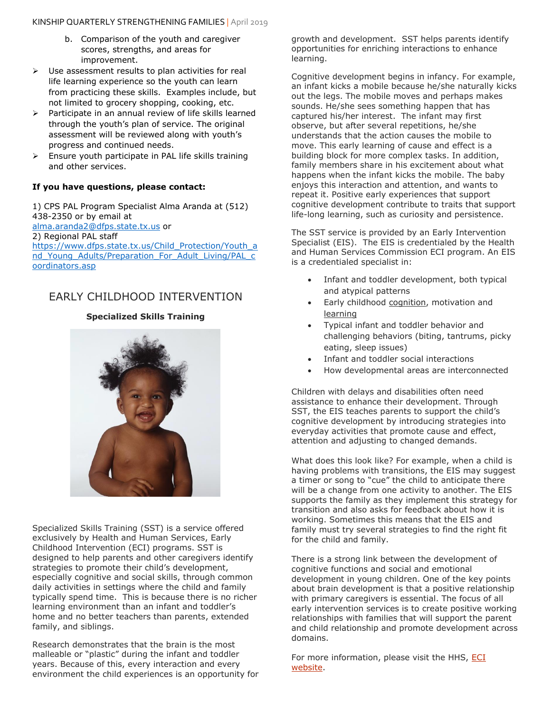- b. Comparison of the youth and caregiver scores, strengths, and areas for improvement.
- $\triangleright$  Use assessment results to plan activities for real life learning experience so the youth can learn from practicing these skills. Examples include, but not limited to grocery shopping, cooking, etc.
- $\triangleright$  Participate in an annual review of life skills learned through the youth's plan of service. The original assessment will be reviewed along with youth's progress and continued needs.
- $\triangleright$  Ensure youth participate in PAL life skills training and other services.

#### **If you have questions, please contact:**

1) CPS PAL Program Specialist Alma Aranda at (512) 438-2350 or by email at [alma.aranda2@dfps.state.tx.us](mailto:alma.aranda2@dfps.state.tx.us) or 2) Regional PAL staff [https://www.dfps.state.tx.us/Child\\_Protection/Youth\\_a](https://www.dfps.state.tx.us/Child_Protection/Youth_and_Young_Adults/Preparation_For_Adult_Living/PAL_coordinators.asp) nd Young Adults/Preparation For Adult Living/PAL c [oordinators.asp](https://www.dfps.state.tx.us/Child_Protection/Youth_and_Young_Adults/Preparation_For_Adult_Living/PAL_coordinators.asp)

# EARLY CHILDHOOD INTERVENTION

## **Specialized Skills Training**



Specialized Skills Training (SST) is a service offered exclusively by Health and Human Services, Early Childhood Intervention (ECI) programs. SST is designed to help parents and other caregivers identify strategies to promote their child's development, especially cognitive and social skills, through common daily activities in settings where the child and family typically spend time. This is because there is no richer learning environment than an infant and toddler's home and no better teachers than parents, extended family, and siblings.

Research demonstrates that the brain is the most malleable or "plastic" during the infant and toddler years. Because of this, every interaction and every environment the child experiences is an opportunity for growth and development. SST helps parents identify opportunities for enriching interactions to enhance learning.

Cognitive development begins in infancy. For example, an infant kicks a mobile because he/she naturally kicks out the legs. The mobile moves and perhaps makes sounds. He/she sees something happen that has captured his/her interest. The infant may first observe, but after several repetitions, he/she understands that the action causes the mobile to move. This early learning of cause and effect is a building block for more complex tasks. In addition, family members share in his excitement about what happens when the infant kicks the mobile. The baby enjoys this interaction and attention, and wants to repeat it. Positive early experiences that support cognitive development contribute to traits that support life-long learning, such as curiosity and persistence.

The SST service is provided by an Early Intervention Specialist (EIS). The EIS is credentialed by the Health and Human Services Commission ECI program. An EIS is a credentialed specialist in:

- Infant and toddler development, both typical and atypical patterns
- Early childhood cognition, motivation and learning
- Typical infant and toddler behavior and challenging behaviors (biting, tantrums, picky eating, sleep issues)
- Infant and toddler social interactions
- How developmental areas are interconnected

Children with delays and disabilities often need assistance to enhance their development. Through SST, the EIS teaches parents to support the child's cognitive development by introducing strategies into everyday activities that promote cause and effect, attention and adjusting to changed demands.

What does this look like? For example, when a child is having problems with transitions, the EIS may suggest a timer or song to "cue" the child to anticipate there will be a change from one activity to another. The EIS supports the family as they implement this strategy for transition and also asks for feedback about how it is working. Sometimes this means that the EIS and family must try several strategies to find the right fit for the child and family.

There is a strong link between the development of cognitive functions and social and emotional development in young children. One of the key points about brain development is that a positive relationship with primary caregivers is essential. The focus of all early intervention services is to create positive working relationships with families that will support the parent and child relationship and promote development across domains.

For more information, please visit the HHS, ECI [website.](https://hhs.texas.gov/services/disability/early-childhood-intervention-services)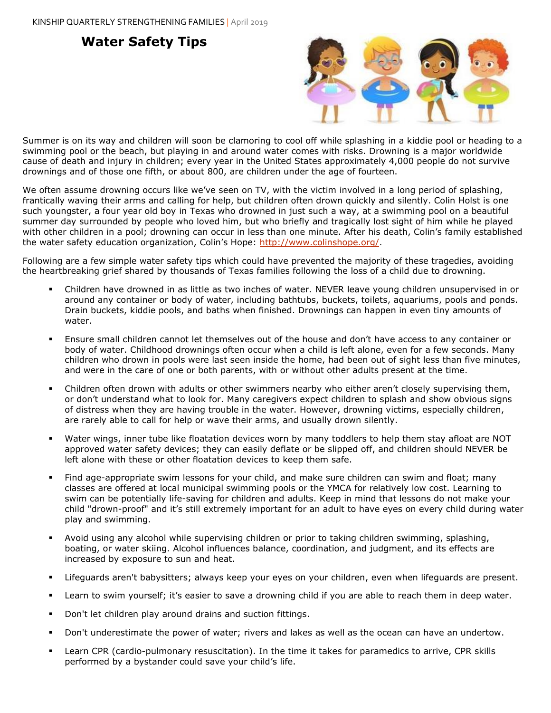# **Water Safety Tips**



Summer is on its way and children will soon be clamoring to cool off while splashing in a kiddie pool or heading to a swimming pool or the beach, but playing in and around water comes with risks. Drowning is a major worldwide cause of death and injury in children; every year in the United States approximately 4,000 people do not survive drownings and of those one fifth, or about 800, are children under the age of fourteen.

We often assume drowning occurs like we've seen on TV, with the victim involved in a long period of splashing, frantically waving their arms and calling for help, but children often drown quickly and silently. Colin Holst is one such youngster, a four year old boy in Texas who drowned in just such a way, at a swimming pool on a beautiful summer day surrounded by people who loved him, but who briefly and tragically lost sight of him while he played with other children in a pool; drowning can occur in less than one minute. After his death, Colin's family established the water safety education organization, Colin's Hope: [http://www.colinshope.org/.](http://www.colinshope.org/)

Following are a few simple water safety tips which could have prevented the majority of these tragedies, avoiding the heartbreaking grief shared by thousands of Texas families following the loss of a child due to drowning.

- Children have drowned in as little as two inches of water. NEVER leave young children unsupervised in or around any container or body of water, including bathtubs, buckets, toilets, aquariums, pools and ponds. Drain buckets, kiddie pools, and baths when finished. Drownings can happen in even tiny amounts of water.
- Ensure small children cannot let themselves out of the house and don't have access to any container or body of water. Childhood drownings often occur when a child is left alone, even for a few seconds. Many children who drown in pools were last seen inside the home, had been out of sight less than five minutes, and were in the care of one or both parents, with or without other adults present at the time.
- Children often drown with adults or other swimmers nearby who either aren't closely supervising them, or don't understand what to look for. Many caregivers expect children to splash and show obvious signs of distress when they are having trouble in the water. However, drowning victims, especially children, are rarely able to call for help or wave their arms, and usually drown silently.
- Water wings, inner tube like floatation devices worn by many toddlers to help them stay afloat are NOT approved water safety devices; they can easily deflate or be slipped off, and children should NEVER be left alone with these or other floatation devices to keep them safe.
- Find age-appropriate swim lessons for your child, and make sure children can swim and float; many classes are offered at local municipal swimming pools or the YMCA for relatively low cost. Learning to swim can be potentially life-saving for children and adults. Keep in mind that lessons do not make your child "drown-proof" and it's still extremely important for an adult to have eyes on every child during water play and swimming.
- Avoid using any alcohol while supervising children or prior to taking children swimming, splashing, boating, or water skiing. Alcohol influences balance, coordination, and judgment, and its effects are increased by exposure to sun and heat.
- Lifeguards aren't babysitters; always keep your eyes on your children, even when lifeguards are present.
- Learn to swim yourself; it's easier to save a drowning child if you are able to reach them in deep water.
- Don't let children play around drains and suction fittings.
- Don't underestimate the power of water; rivers and lakes as well as the ocean can have an undertow.
- Learn CPR (cardio-pulmonary resuscitation). In the time it takes for paramedics to arrive, CPR skills performed by a bystander could save your child's life.